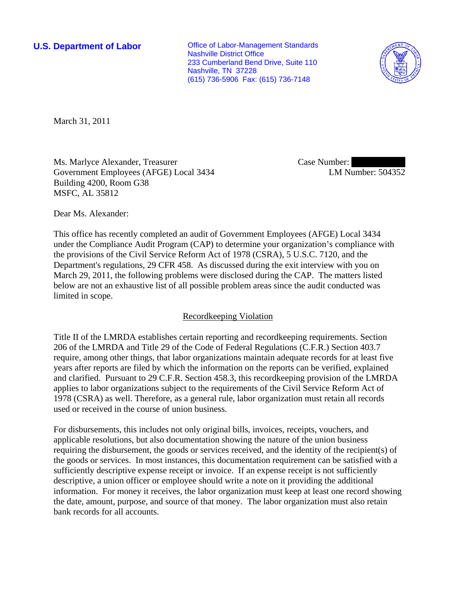**U.S. Department of Labor Conservative Conservative Conservative Conservative Conservative Conservative Conservative Conservative Conservative Conservative Conservative Conservative Conservative Conservative Conservative** Nashville District Office 233 Cumberland Bend Drive, Suite 110 Nashville, TN 37228 (615) 736-5906 Fax: (615) 736-7148



March 31, 2011

Ms. Marlyce Alexander, Treasurer Government Employees (AFGE) Local 3434 Building 4200, Room G38 MSFC, AL 35812

Case Number: LM Number: 504352

Dear Ms. Alexander:

This office has recently completed an audit of Government Employees (AFGE) Local 3434 under the Compliance Audit Program (CAP) to determine your organization's compliance with the provisions of the Civil Service Reform Act of 1978 (CSRA), 5 U.S.C. 7120, and the Department's regulations, 29 CFR 458. As discussed during the exit interview with you on March 29, 2011, the following problems were disclosed during the CAP. The matters listed below are not an exhaustive list of all possible problem areas since the audit conducted was limited in scope.

## Recordkeeping Violation

Title II of the LMRDA establishes certain reporting and recordkeeping requirements. Section 206 of the LMRDA and Title 29 of the Code of Federal Regulations (C.F.R.) Section 403.7 require, among other things, that labor organizations maintain adequate records for at least five years after reports are filed by which the information on the reports can be verified, explained and clarified. Pursuant to 29 C.F.R. Section 458.3, this recordkeeping provision of the LMRDA applies to labor organizations subject to the requirements of the Civil Service Reform Act of 1978 (CSRA) as well. Therefore, as a general rule, labor organization must retain all records used or received in the course of union business.

For disbursements, this includes not only original bills, invoices, receipts, vouchers, and applicable resolutions, but also documentation showing the nature of the union business requiring the disbursement, the goods or services received, and the identity of the recipient(s) of the goods or services. In most instances, this documentation requirement can be satisfied with a sufficiently descriptive expense receipt or invoice. If an expense receipt is not sufficiently descriptive, a union officer or employee should write a note on it providing the additional information. For money it receives, the labor organization must keep at least one record showing the date, amount, purpose, and source of that money. The labor organization must also retain bank records for all accounts.